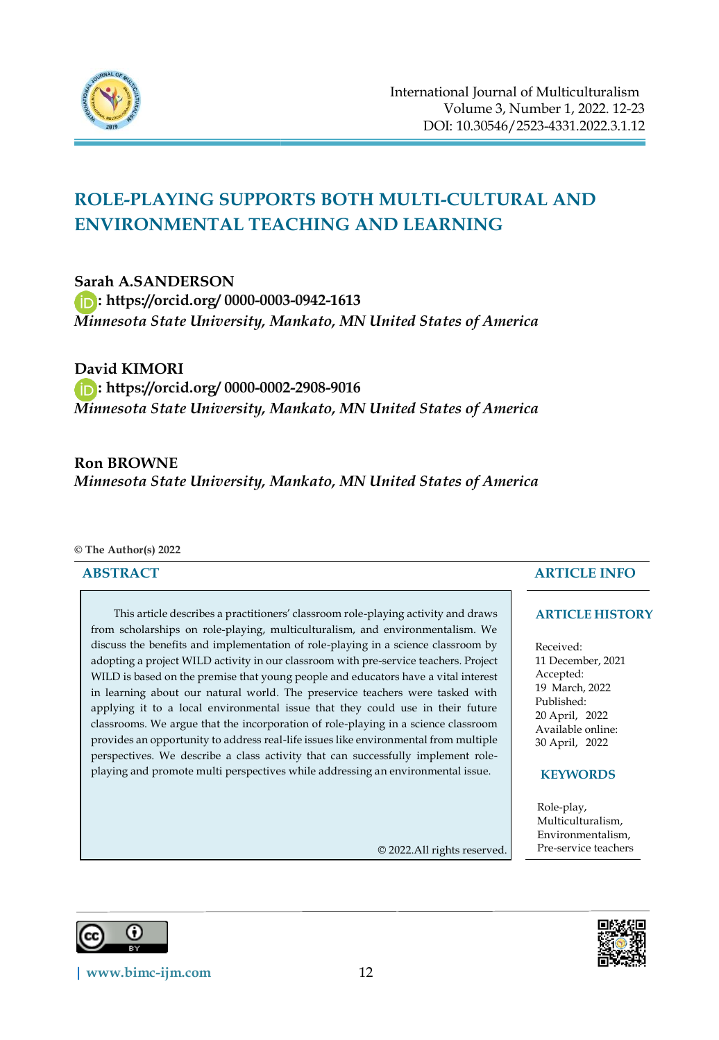

# **ROLE-PLAYING SUPPORTS BOTH MULTI-CULTURAL AND ENVIRONMENTAL TEACHING AND LEARNING**

**Sarah A.SANDERSON** 

**:<https://orcid.org/> 0000-0003-0942-1613** 

*Minnesota State University, Mankato, MN United States of America*

**David KIMORI :<https://orcid.org/> 0000-0002-2908-9016**  *Minnesota State University, Mankato, MN United States of America*

# **Ron BROWNE**

*Minnesota State University, Mankato, MN United States of America*

#### **© The Author(s) 2022**

#### **ABSTRACT**

This article describes a practitioners' classroom role-playing activity and draws from scholarships on role-playing, multiculturalism, and environmentalism. We discuss the benefits and implementation of role-playing in a science classroom by adopting a project WILD activity in our classroom with pre-service teachers. Project WILD is based on the premise that young people and educators have a vital interest in learning about our natural world. The preservice teachers were tasked with applying it to a local environmental issue that they could use in their future classrooms. We argue that the incorporation of role-playing in a science classroom provides an opportunity to address real-life issues like environmental from multiple perspectives. We describe a class activity that can successfully implement roleplaying and promote multi perspectives while addressing an environmental issue.

© 2022.All rights reserved.

## **ARTICLE INFO**

#### **ARTICLE HISTORY**

Received: 11 December, 2021 Accepted: 19 March, 2022 Published: 20 April, 2022 Available online: 30 April, 2022

## **KEYWORDS**

Role-play, Multiculturalism, Environmentalism, Pre-service teachers





**[| www.bimc-ijm.com](http://www.bimc-ijm.com/)** 12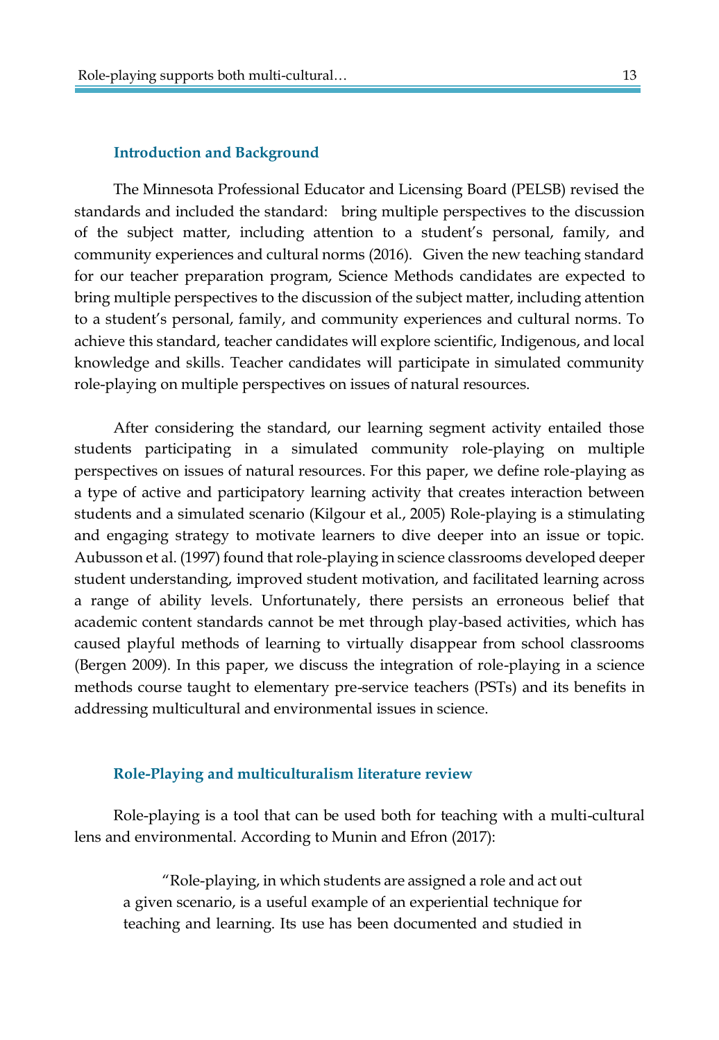#### **Introduction and Background**

The Minnesota Professional Educator and Licensing Board (PELSB) revised the standards and included the standard: bring multiple perspectives to the discussion of the subject matter, including attention to a student's personal, family, and community experiences and cultural norms (2016). Given the new teaching standard for our teacher preparation program, Science Methods candidates are expected to bring multiple perspectives to the discussion of the subject matter, including attention to a student's personal, family, and community experiences and cultural norms. To achieve this standard, teacher candidates will explore scientific, Indigenous, and local knowledge and skills. Teacher candidates will participate in simulated community role-playing on multiple perspectives on issues of natural resources.

After considering the standard, our learning segment activity entailed those students participating in a simulated community role-playing on multiple perspectives on issues of natural resources. For this paper, we define role-playing as a type of active and participatory learning activity that creates interaction between students and a simulated scenario (Kilgour et al., 2005) Role-playing is a stimulating and engaging strategy to motivate learners to dive deeper into an issue or topic. Aubusson et al. (1997) found that role-playing in science classrooms developed deeper student understanding, improved student motivation, and facilitated learning across a range of ability levels. Unfortunately, there persists an erroneous belief that academic content standards cannot be met through play-based activities, which has caused playful methods of learning to virtually disappear from school classrooms (Bergen 2009). In this paper, we discuss the integration of role-playing in a science methods course taught to elementary pre-service teachers (PSTs) and its benefits in addressing multicultural and environmental issues in science.

#### **Role-Playing and multiculturalism literature review**

Role-playing is a tool that can be used both for teaching with a multi-cultural lens and environmental. According to Munin and Efron (2017):

"Role-playing, in which students are assigned a role and act out a given scenario, is a useful example of an experiential technique for teaching and learning. Its use has been documented and studied in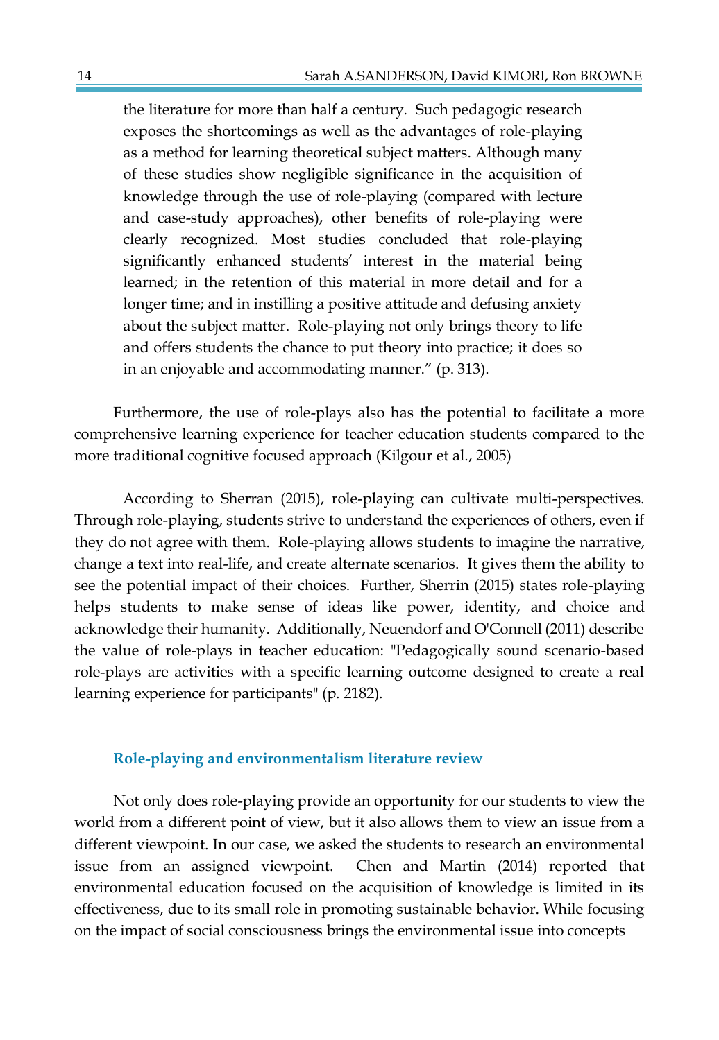the literature for more than half a century. Such pedagogic research exposes the shortcomings as well as the advantages of role-playing as a method for learning theoretical subject matters. Although many of these studies show negligible significance in the acquisition of knowledge through the use of role-playing (compared with lecture and case-study approaches), other benefits of role-playing were clearly recognized. Most studies concluded that role-playing significantly enhanced students' interest in the material being learned; in the retention of this material in more detail and for a longer time; and in instilling a positive attitude and defusing anxiety about the subject matter. Role-playing not only brings theory to life and offers students the chance to put theory into practice; it does so in an enjoyable and accommodating manner." (p. 313).

Furthermore, the use of role-plays also has the potential to facilitate a more comprehensive learning experience for teacher education students compared to the more traditional cognitive focused approach (Kilgour et al., 2005)

According to Sherran (2015), role-playing can cultivate multi-perspectives. Through role-playing, students strive to understand the experiences of others, even if they do not agree with them. Role-playing allows students to imagine the narrative, change a text into real-life, and create alternate scenarios. It gives them the ability to see the potential impact of their choices. Further, Sherrin (2015) states role-playing helps students to make sense of ideas like power, identity, and choice and acknowledge their humanity. Additionally, Neuendorf and O'Connell (2011) describe the value of role-plays in teacher education: "Pedagogically sound scenario-based role-plays are activities with a specific learning outcome designed to create a real learning experience for participants" (p. 2182).

#### **Role-playing and environmentalism literature review**

Not only does role-playing provide an opportunity for our students to view the world from a different point of view, but it also allows them to view an issue from a different viewpoint. In our case, we asked the students to research an environmental issue from an assigned viewpoint. Chen and Martin (2014) reported that environmental education focused on the acquisition of knowledge is limited in its effectiveness, due to its small role in promoting sustainable behavior. While focusing on the impact of social consciousness brings the environmental issue into concepts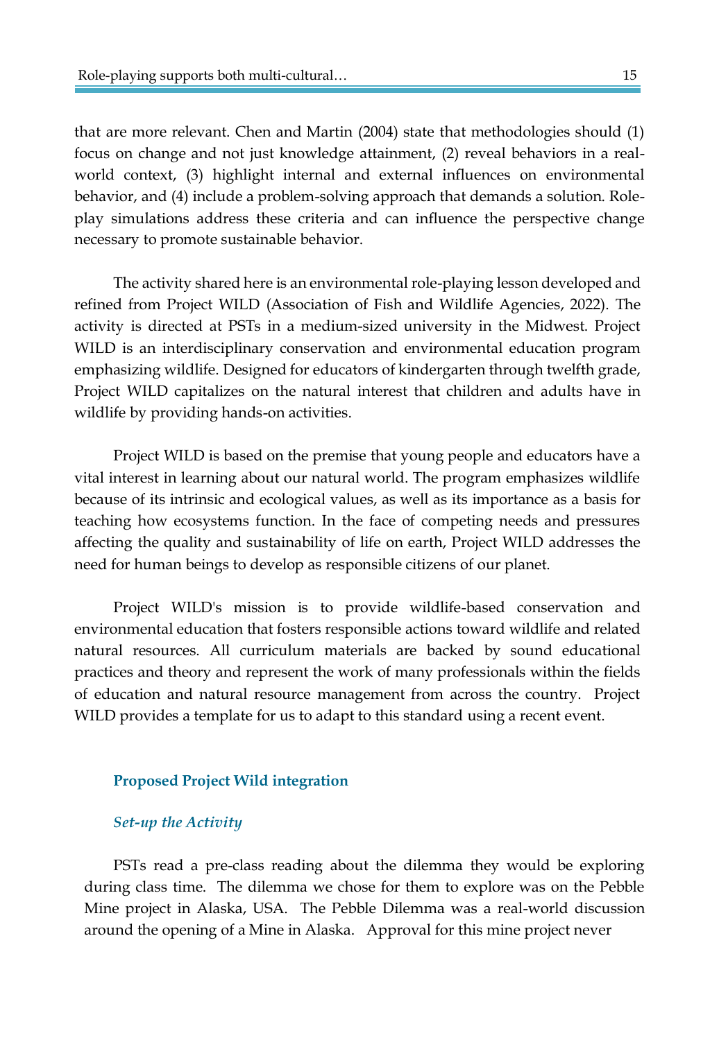that are more relevant. Chen and Martin (2004) state that methodologies should (1) focus on change and not just knowledge attainment, (2) reveal behaviors in a realworld context, (3) highlight internal and external influences on environmental behavior, and (4) include a problem-solving approach that demands a solution. Roleplay simulations address these criteria and can influence the perspective change necessary to promote sustainable behavior.

The activity shared here is an environmental role-playing lesson developed and refined from Project WILD (Association of Fish and Wildlife Agencies, 2022). The activity is directed at PSTs in a medium-sized university in the Midwest. Project WILD is an interdisciplinary conservation and environmental education program emphasizing wildlife. Designed for educators of kindergarten through twelfth grade, Project WILD capitalizes on the natural interest that children and adults have in wildlife by providing hands-on activities.

Project WILD is based on the premise that young people and educators have a vital interest in learning about our natural world. The program emphasizes wildlife because of its intrinsic and ecological values, as well as its importance as a basis for teaching how ecosystems function. In the face of competing needs and pressures affecting the quality and sustainability of life on earth, Project WILD addresses the need for human beings to develop as responsible citizens of our planet.

Project WILD's mission is to provide wildlife-based conservation and environmental education that fosters responsible actions toward wildlife and related natural resources. All curriculum materials are backed by sound educational practices and theory and represent the work of many professionals within the fields of education and natural resource management from across the country. Project WILD provides a template for us to adapt to this standard using a recent event.

#### **Proposed Project Wild integration**

#### *Set-up the Activity*

PSTs read a pre-class reading about the dilemma they would be exploring during class time. The dilemma we chose for them to explore was on the Pebble Mine project in Alaska, USA. The Pebble Dilemma was a real-world discussion around the opening of a Mine in Alaska. Approval for this mine project never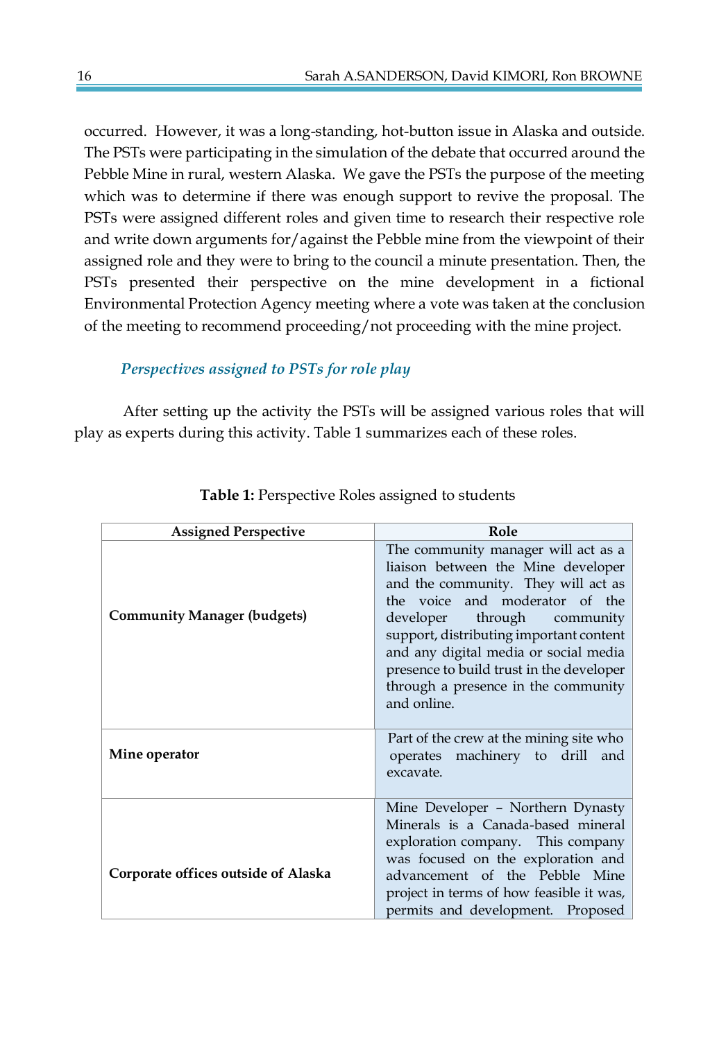occurred. However, it was a long-standing, hot-button issue in Alaska and outside. The PSTs were participating in the simulation of the debate that occurred around the Pebble Mine in rural, western Alaska. We gave the PSTs the purpose of the meeting which was to determine if there was enough support to revive the proposal. The PSTs were assigned different roles and given time to research their respective role and write down arguments for/against the Pebble mine from the viewpoint of their assigned role and they were to bring to the council a minute presentation. Then, the PSTs presented their perspective on the mine development in a fictional Environmental Protection Agency meeting where a vote was taken at the conclusion of the meeting to recommend proceeding/not proceeding with the mine project.

# *Perspectives assigned to PSTs for role play*

After setting up the activity the PSTs will be assigned various roles that will play as experts during this activity. Table 1 summarizes each of these roles.

| <b>Assigned Perspective</b>         | Role                                                                                                                                                                                                                                                                                                                                                                    |
|-------------------------------------|-------------------------------------------------------------------------------------------------------------------------------------------------------------------------------------------------------------------------------------------------------------------------------------------------------------------------------------------------------------------------|
| <b>Community Manager (budgets)</b>  | The community manager will act as a<br>liaison between the Mine developer<br>and the community. They will act as<br>the voice and moderator of the<br>developer through community<br>support, distributing important content<br>and any digital media or social media<br>presence to build trust in the developer<br>through a presence in the community<br>and online. |
| Mine operator                       | Part of the crew at the mining site who<br>operates machinery to drill<br>and<br>excavate.                                                                                                                                                                                                                                                                              |
| Corporate offices outside of Alaska | Mine Developer - Northern Dynasty<br>Minerals is a Canada-based mineral<br>exploration company. This company<br>was focused on the exploration and<br>advancement of the Pebble Mine<br>project in terms of how feasible it was,<br>permits and development. Proposed                                                                                                   |

 **Table 1:** Perspective Roles assigned to students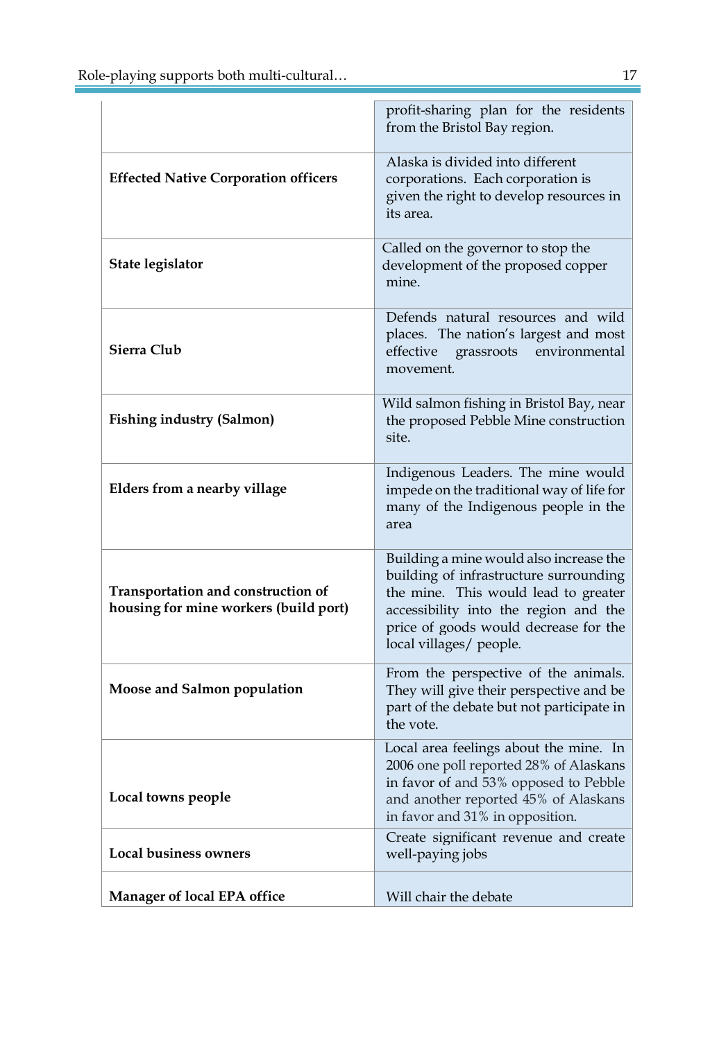|                                                                             | profit-sharing plan for the residents<br>from the Bristol Bay region.                                                                                                                                                                  |
|-----------------------------------------------------------------------------|----------------------------------------------------------------------------------------------------------------------------------------------------------------------------------------------------------------------------------------|
| <b>Effected Native Corporation officers</b>                                 | Alaska is divided into different<br>corporations. Each corporation is<br>given the right to develop resources in<br>its area.                                                                                                          |
| State legislator                                                            | Called on the governor to stop the<br>development of the proposed copper<br>mine.                                                                                                                                                      |
| Sierra Club                                                                 | Defends natural resources and wild<br>places. The nation's largest and most<br>effective<br>environmental<br>grassroots<br>movement.                                                                                                   |
| <b>Fishing industry (Salmon)</b>                                            | Wild salmon fishing in Bristol Bay, near<br>the proposed Pebble Mine construction<br>site.                                                                                                                                             |
| Elders from a nearby village                                                | Indigenous Leaders. The mine would<br>impede on the traditional way of life for<br>many of the Indigenous people in the<br>area                                                                                                        |
| Transportation and construction of<br>housing for mine workers (build port) | Building a mine would also increase the<br>building of infrastructure surrounding<br>the mine. This would lead to greater<br>accessibility into the region and the<br>price of goods would decrease for the<br>local villages/ people. |
| Moose and Salmon population                                                 | From the perspective of the animals.<br>They will give their perspective and be<br>part of the debate but not participate in<br>the vote.                                                                                              |
| Local towns people                                                          | Local area feelings about the mine. In<br>2006 one poll reported 28% of Alaskans<br>in favor of and 53% opposed to Pebble<br>and another reported 45% of Alaskans<br>in favor and 31% in opposition.                                   |
| <b>Local business owners</b>                                                | Create significant revenue and create<br>well-paying jobs                                                                                                                                                                              |
| <b>Manager of local EPA office</b>                                          | Will chair the debate                                                                                                                                                                                                                  |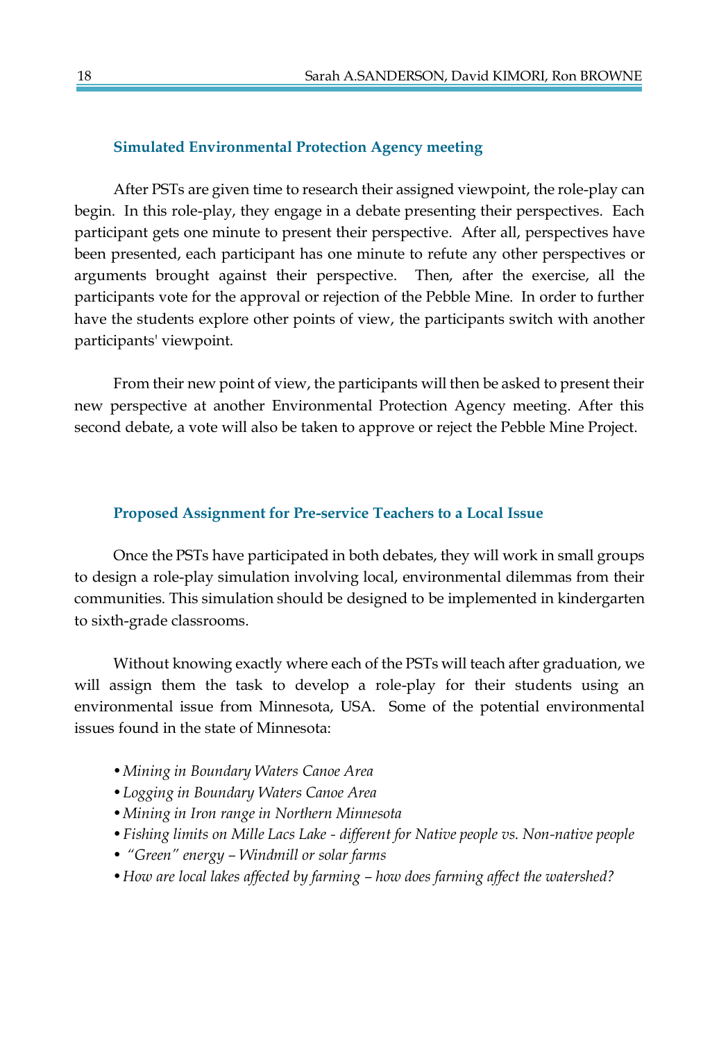#### **Simulated Environmental Protection Agency meeting**

After PSTs are given time to research their assigned viewpoint, the role-play can begin. In this role-play, they engage in a debate presenting their perspectives. Each participant gets one minute to present their perspective. After all, perspectives have been presented, each participant has one minute to refute any other perspectives or arguments brought against their perspective. Then, after the exercise, all the participants vote for the approval or rejection of the Pebble Mine. In order to further have the students explore other points of view, the participants switch with another participants' viewpoint.

From their new point of view, the participants will then be asked to present their new perspective at another Environmental Protection Agency meeting. After this second debate, a vote will also be taken to approve or reject the Pebble Mine Project.

#### **Proposed Assignment for Pre-service Teachers to a Local Issue**

Once the PSTs have participated in both debates, they will work in small groups to design a role-play simulation involving local, environmental dilemmas from their communities. This simulation should be designed to be implemented in kindergarten to sixth-grade classrooms.

Without knowing exactly where each of the PSTs will teach after graduation, we will assign them the task to develop a role-play for their students using an environmental issue from Minnesota, USA. Some of the potential environmental issues found in the state of Minnesota:

- *•Mining in Boundary Waters Canoe Area*
- *•Logging in Boundary Waters Canoe Area*
- *•Mining in Iron range in Northern Minnesota*
- *•Fishing limits on Mille Lacs Lake - different for Native people vs. Non-native people*
- *• "Green" energy – Windmill or solar farms*
- *•How are local lakes affected by farming – how does farming affect the watershed?*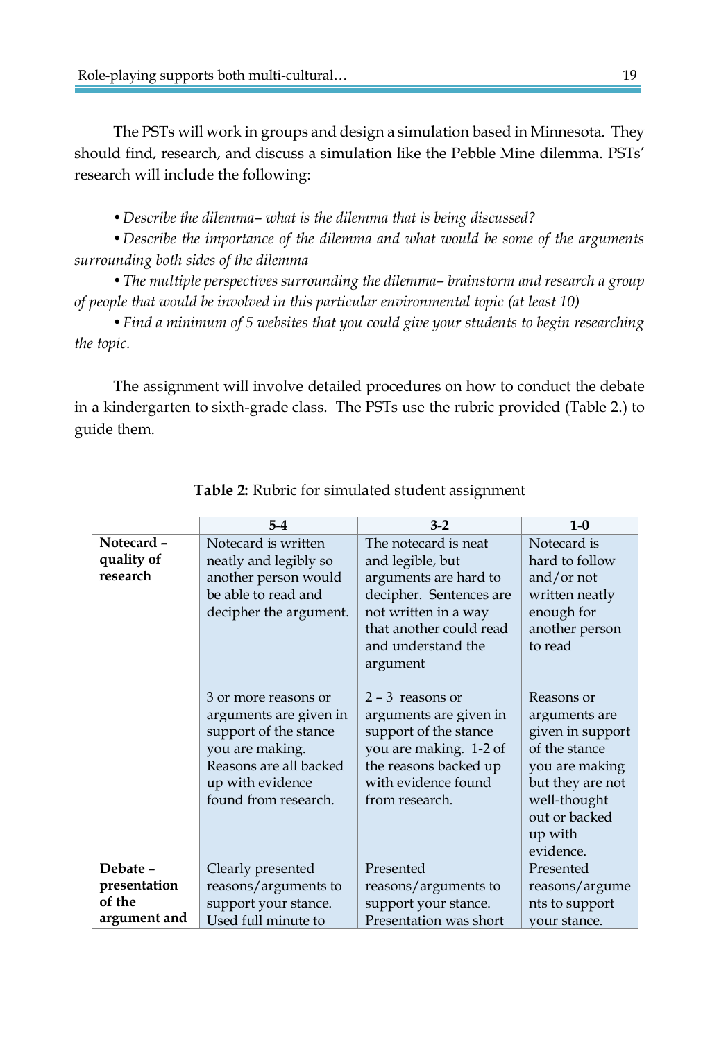The PSTs will work in groups and design a simulation based in Minnesota. They should find, research, and discuss a simulation like the Pebble Mine dilemma. PSTs' research will include the following:

*•Describe the dilemma– what is the dilemma that is being discussed?* 

*•Describe the importance of the dilemma and what would be some of the arguments surrounding both sides of the dilemma* 

*•The multiple perspectives surrounding the dilemma– brainstorm and research a group of people that would be involved in this particular environmental topic (at least 10)*

*•Find a minimum of 5 websites that you could give your students to begin researching the topic.*

The assignment will involve detailed procedures on how to conduct the debate in a kindergarten to sixth-grade class. The PSTs use the rubric provided (Table 2.) to guide them.

|                                                    | $5-4$                                                                                                                                                            | $3-2$                                                                                                                                                                             | $1-0$                                                                                                                                                           |
|----------------------------------------------------|------------------------------------------------------------------------------------------------------------------------------------------------------------------|-----------------------------------------------------------------------------------------------------------------------------------------------------------------------------------|-----------------------------------------------------------------------------------------------------------------------------------------------------------------|
| Notecard-<br>quality of<br>research                | Notecard is written<br>neatly and legibly so<br>another person would<br>be able to read and<br>decipher the argument.                                            | The notecard is neat<br>and legible, but<br>arguments are hard to<br>decipher. Sentences are<br>not written in a way<br>that another could read<br>and understand the<br>argument | Notecard is<br>hard to follow<br>and/or not<br>written neatly<br>enough for<br>another person<br>to read                                                        |
|                                                    | 3 or more reasons or<br>arguments are given in<br>support of the stance<br>you are making.<br>Reasons are all backed<br>up with evidence<br>found from research. | $2 - 3$ reasons or<br>arguments are given in<br>support of the stance<br>you are making. 1-2 of<br>the reasons backed up<br>with evidence found<br>from research.                 | Reasons or<br>arguments are<br>given in support<br>of the stance<br>you are making<br>but they are not<br>well-thought<br>out or backed<br>up with<br>evidence. |
| Debate -<br>presentation<br>of the<br>argument and | Clearly presented<br>reasons/arguments to<br>support your stance.<br>Used full minute to                                                                         | Presented<br>reasons/arguments to<br>support your stance.<br>Presentation was short                                                                                               | Presented<br>reasons/argume<br>nts to support<br>your stance.                                                                                                   |

## **Table 2:** Rubric for simulated student assignment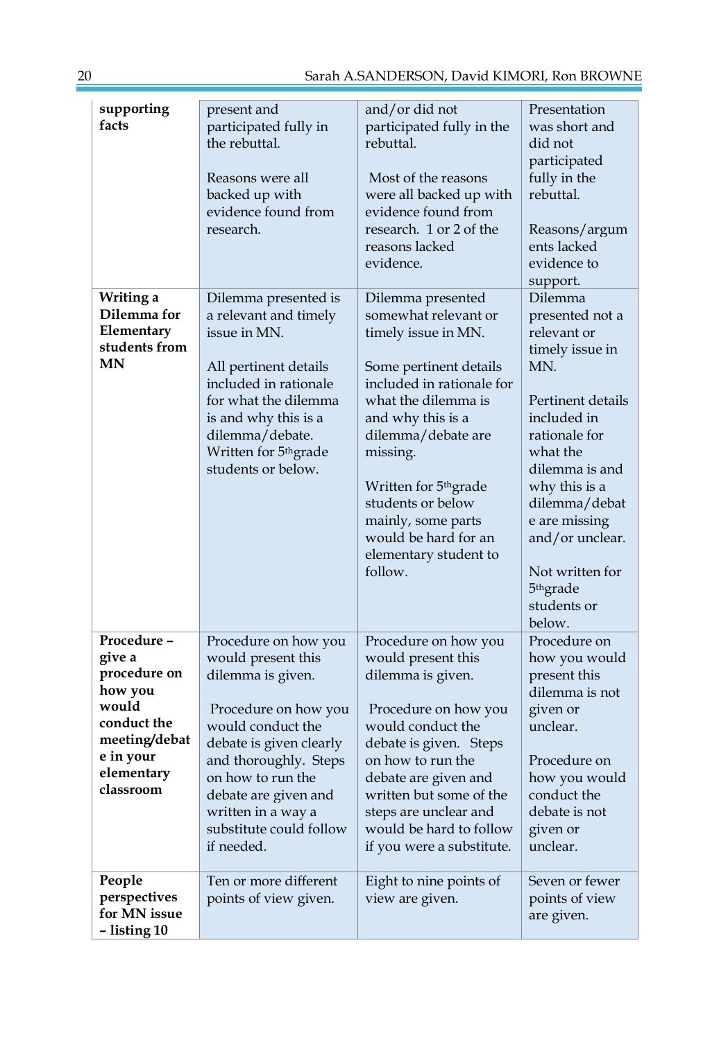| supporting<br>facts                                                                                                               | present and<br>participated fully in<br>the rebuttal.<br>Reasons were all<br>backed up with<br>evidence found from<br>research.                                                                                                                                              | and/or did not<br>participated fully in the<br>rebuttal.<br>Most of the reasons<br>were all backed up with<br>evidence found from<br>research. 1 or 2 of the<br>reasons lacked<br>evidence.                                                                                                                                                       | Presentation<br>was short and<br>did not<br>participated<br>fully in the<br>rebuttal.<br>Reasons/argum<br>ents lacked<br>evidence to                                                                                                                                                                          |
|-----------------------------------------------------------------------------------------------------------------------------------|------------------------------------------------------------------------------------------------------------------------------------------------------------------------------------------------------------------------------------------------------------------------------|---------------------------------------------------------------------------------------------------------------------------------------------------------------------------------------------------------------------------------------------------------------------------------------------------------------------------------------------------|---------------------------------------------------------------------------------------------------------------------------------------------------------------------------------------------------------------------------------------------------------------------------------------------------------------|
| Writing a<br>Dilemma for<br>Elementary<br>students from<br><b>MN</b>                                                              | Dilemma presented is<br>a relevant and timely<br>issue in MN.<br>All pertinent details<br>included in rationale<br>for what the dilemma<br>is and why this is a<br>dilemma/debate.<br>Written for 5 <sup>th</sup> grade<br>students or below.                                | Dilemma presented<br>somewhat relevant or<br>timely issue in MN.<br>Some pertinent details<br>included in rationale for<br>what the dilemma is<br>and why this is a<br>dilemma/debate are<br>missing.<br>Written for 5 <sup>th</sup> grade<br>students or below<br>mainly, some parts<br>would be hard for an<br>elementary student to<br>follow. | support.<br>Dilemma<br>presented not a<br>relevant or<br>timely issue in<br>MN.<br>Pertinent details<br>included in<br>rationale for<br>what the<br>dilemma is and<br>why this is a<br>dilemma/debat<br>e are missing<br>and/or unclear.<br>Not written for<br>5 <sup>th</sup> grade<br>students or<br>below. |
| Procedure -<br>give a<br>procedure on<br>how you<br>would<br>conduct the<br>meeting/debat<br>e in your<br>elementary<br>classroom | Procedure on how you<br>would present this<br>dilemma is given.<br>Procedure on how you<br>would conduct the<br>debate is given clearly<br>and thoroughly. Steps<br>on how to run the<br>debate are given and<br>written in a way a<br>substitute could follow<br>if needed. | Procedure on how you<br>would present this<br>dilemma is given.<br>Procedure on how you<br>would conduct the<br>debate is given. Steps<br>on how to run the<br>debate are given and<br>written but some of the<br>steps are unclear and<br>would be hard to follow<br>if you were a substitute.                                                   | Procedure on<br>how you would<br>present this<br>dilemma is not<br>given or<br>unclear.<br>Procedure on<br>how you would<br>conduct the<br>debate is not<br>given or<br>unclear.                                                                                                                              |
| People<br>perspectives<br>for MN issue<br>- listing 10                                                                            | Ten or more different<br>points of view given.                                                                                                                                                                                                                               | Eight to nine points of<br>view are given.                                                                                                                                                                                                                                                                                                        | Seven or fewer<br>points of view<br>are given.                                                                                                                                                                                                                                                                |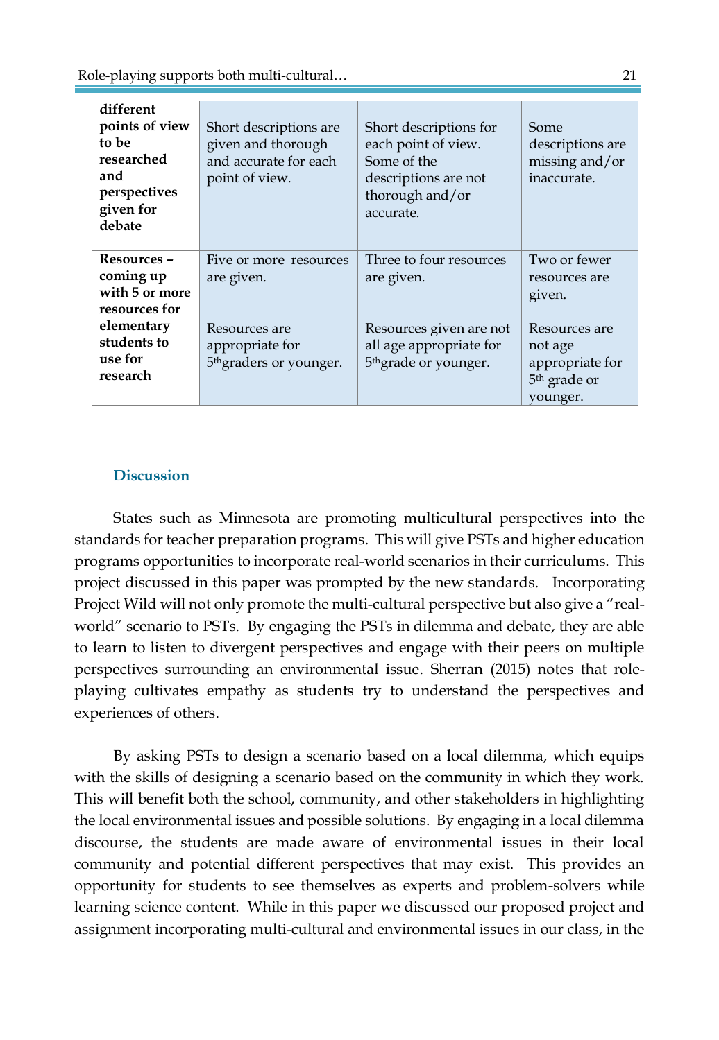Role-playing supports both multi-cultural… 21

| different<br>points of view<br>to be<br>researched<br>and<br>perspectives<br>given for | Short descriptions are<br>given and thorough<br>and accurate for each<br>point of view. | Short descriptions for<br>each point of view.<br>Some of the<br>descriptions are not<br>thorough and/or<br>accurate. | Some<br>descriptions are<br>missing and/or<br>inaccurate. |
|----------------------------------------------------------------------------------------|-----------------------------------------------------------------------------------------|----------------------------------------------------------------------------------------------------------------------|-----------------------------------------------------------|
| debate                                                                                 |                                                                                         |                                                                                                                      |                                                           |
|                                                                                        |                                                                                         |                                                                                                                      |                                                           |
| Resources -                                                                            | Five or more resources                                                                  | Three to four resources                                                                                              | Two or fewer                                              |
| coming up                                                                              | are given.                                                                              | are given.                                                                                                           | resources are                                             |
| with 5 or more                                                                         |                                                                                         |                                                                                                                      | given.                                                    |
| resources for                                                                          |                                                                                         |                                                                                                                      |                                                           |
| elementary                                                                             | Resources are                                                                           | Resources given are not                                                                                              | Resources are                                             |
| students to                                                                            | appropriate for                                                                         | all age appropriate for                                                                                              | not age                                                   |
| use for                                                                                | 5 <sup>th</sup> graders or younger.                                                     | 5 <sup>th</sup> grade or younger.                                                                                    | appropriate for                                           |
| research                                                                               |                                                                                         |                                                                                                                      | 5 <sup>th</sup> grade or                                  |
|                                                                                        |                                                                                         |                                                                                                                      | younger.                                                  |

## **Discussion**

States such as Minnesota are promoting multicultural perspectives into the standards for teacher preparation programs. This will give PSTs and higher education programs opportunities to incorporate real-world scenarios in their curriculums. This project discussed in this paper was prompted by the new standards. Incorporating Project Wild will not only promote the multi-cultural perspective but also give a "realworld" scenario to PSTs. By engaging the PSTs in dilemma and debate, they are able to learn to listen to divergent perspectives and engage with their peers on multiple perspectives surrounding an environmental issue. Sherran (2015) notes that roleplaying cultivates empathy as students try to understand the perspectives and experiences of others.

By asking PSTs to design a scenario based on a local dilemma, which equips with the skills of designing a scenario based on the community in which they work. This will benefit both the school, community, and other stakeholders in highlighting the local environmental issues and possible solutions. By engaging in a local dilemma discourse, the students are made aware of environmental issues in their local community and potential different perspectives that may exist. This provides an opportunity for students to see themselves as experts and problem-solvers while learning science content. While in this paper we discussed our proposed project and assignment incorporating multi-cultural and environmental issues in our class, in the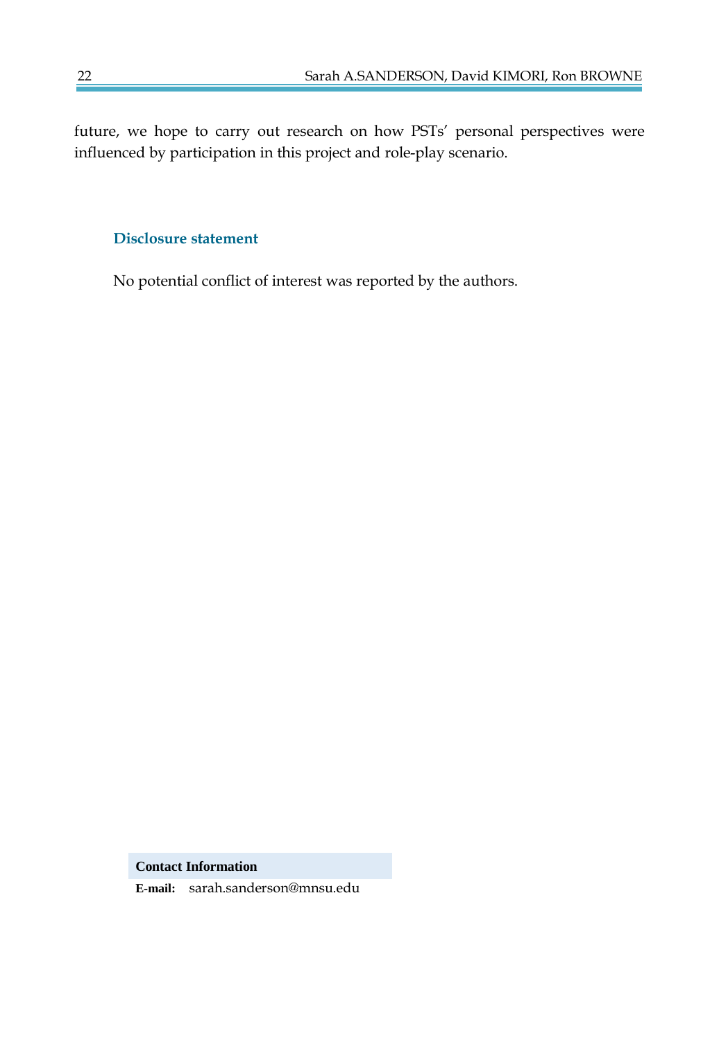future, we hope to carry out research on how PSTs' personal perspectives were influenced by participation in this project and role-play scenario.

## **Disclosure statement**

No potential conflict of interest was reported by the authors.

**Contact Information**

**E-mail:** sarah.sanderson@mnsu.edu